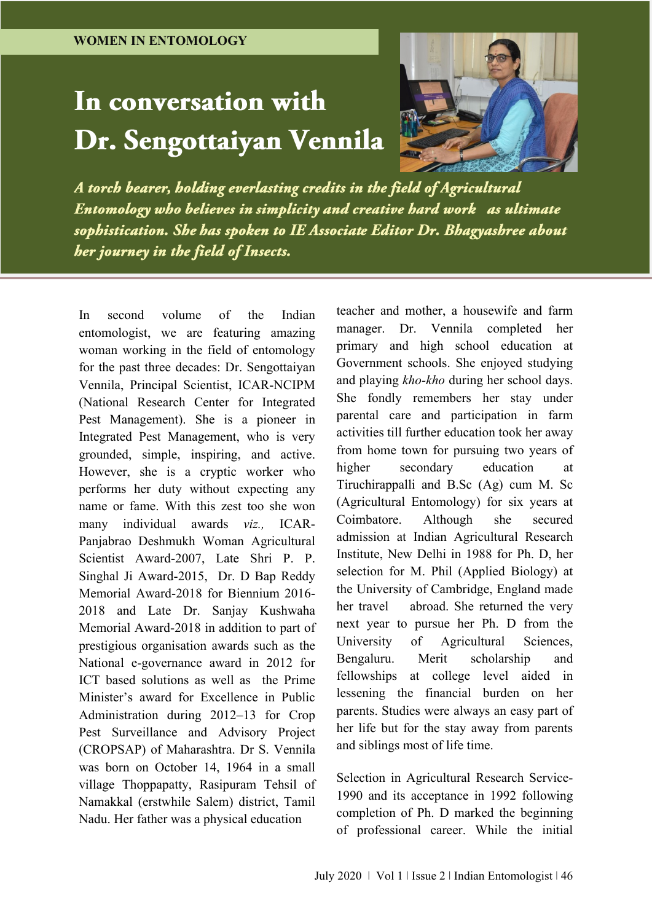# In conversation with Dr. Sengottaiyan Vennila



A torch bearer, holding everlasting credits in the field of Agricultural Entomology who believes in simplicity and creative hard work as ultimate sophistication. She has spoken to IE Associate Editor Dr. Bhagyashree about her journey in the field of Insects.

In second volume of the Indian entomologist, we are featuring amazing woman working in the field of entomology for the past three decades: Dr. Sengottaiyan Vennila, Principal Scientist, ICAR-NCIPM (National Research Center for Integrated Pest Management). She is a pioneer in Integrated Pest Management, who is very grounded, simple, inspiring, and active. However, she is a cryptic worker who performs her duty without expecting any name or fame. With this zest too she won many individual awards *viz.,* ICAR-Panjabrao Deshmukh Woman Agricultural Scientist Award-2007, Late Shri P. P. Singhal Ji Award-2015, Dr. D Bap Reddy Memorial Award-2018 for Biennium 2016- 2018 and Late Dr. Sanjay Kushwaha Memorial Award-2018 in addition to part of prestigious organisation awards such as the National e-governance award in 2012 for ICT based solutions as well as the Prime Minister's award for Excellence in Public Administration during 2012–13 for Crop Pest Surveillance and Advisory Project (CROPSAP) of Maharashtra. Dr S. Vennila was born on October 14, 1964 in a small village Thoppapatty, Rasipuram Tehsil of Namakkal (erstwhile Salem) district, Tamil Nadu. Her father was a physical education

teacher and mother, a housewife and farm manager. Dr. Vennila completed her primary and high school education at Government schools. She enjoyed studying and playing *kho-kho* during her school days. She fondly remembers her stay under parental care and participation in farm activities till further education took her away from home town for pursuing two years of higher secondary education at Tiruchirappalli and B.Sc (Ag) cum M. Sc (Agricultural Entomology) for six years at Coimbatore. Although she secured admission at Indian Agricultural Research Institute, New Delhi in 1988 for Ph. D, her selection for M. Phil (Applied Biology) at the University of Cambridge, England made her travel abroad. She returned the very next year to pursue her Ph. D from the University of Agricultural Sciences, Bengaluru. Merit scholarship and fellowships at college level aided in lessening the financial burden on her parents. Studies were always an easy part of her life but for the stay away from parents and siblings most of life time.

Selection in Agricultural Research Service-1990 and its acceptance in 1992 following completion of Ph. D marked the beginning of professional career. While the initial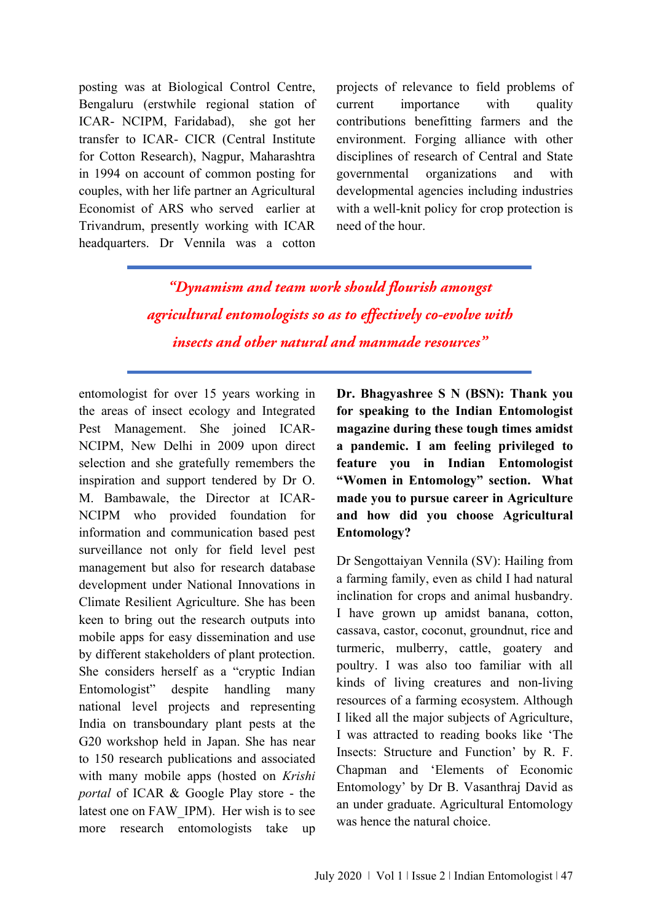posting was at Biological Control Centre, Bengaluru (erstwhile regional station of ICAR- NCIPM, Faridabad), she got her transfer to ICAR- CICR (Central Institute for Cotton Research), Nagpur, Maharashtra in 1994 on account of common posting for couples, with her life partner an Agricultural Economist of ARS who served earlier at Trivandrum, presently working with ICAR headquarters. Dr Vennila was a cotton projects of relevance to field problems of current importance with quality contributions benefitting farmers and the environment. Forging alliance with other disciplines of research of Central and State governmental organizations and with developmental agencies including industries with a well-knit policy for crop protection is need of the hour.

"Dynamism and team work should flourish amongst agricultural entomologists so as to effectively co-evolve with insects and other natural and manmade resources"

entomologist for over 15 years working in the areas of insect ecology and Integrated Pest Management. She joined ICAR-NCIPM, New Delhi in 2009 upon direct selection and she gratefully remembers the inspiration and support tendered by Dr O. M. Bambawale, the Director at ICAR-NCIPM who provided foundation for information and communication based pest surveillance not only for field level pest management but also for research database development under National Innovations in Climate Resilient Agriculture. She has been keen to bring out the research outputs into mobile apps for easy dissemination and use by different stakeholders of plant protection. She considers herself as a "cryptic Indian Entomologist" despite handling many national level projects and representing India on transboundary plant pests at the G20 workshop held in Japan. She has near to 150 research publications and associated with many mobile apps (hosted on *Krishi portal* of ICAR & Google Play store - the latest one on FAW\_IPM). Her wish is to see more research entomologists take up **Dr. Bhagyashree S N (BSN): Thank you for speaking to the Indian Entomologist magazine during these tough times amidst a pandemic. I am feeling privileged to feature you in Indian Entomologist "Women in Entomology" section. What made you to pursue career in Agriculture and how did you choose Agricultural Entomology?**

Dr Sengottaiyan Vennila (SV): Hailing from a farming family, even as child I had natural inclination for crops and animal husbandry. I have grown up amidst banana, cotton, cassava, castor, coconut, groundnut, rice and turmeric, mulberry, cattle, goatery and poultry. I was also too familiar with all kinds of living creatures and non-living resources of a farming ecosystem. Although I liked all the major subjects of Agriculture, I was attracted to reading books like 'The Insects: Structure and Function' by R. F. Chapman and 'Elements of Economic Entomology' by Dr B. Vasanthraj David as an under graduate. Agricultural Entomology was hence the natural choice.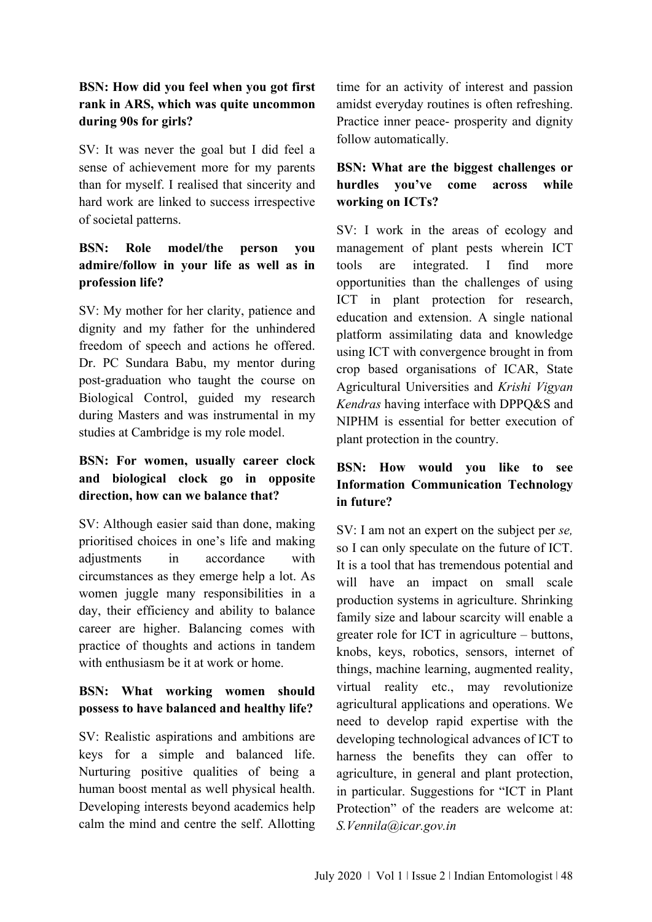# **BSN: How did you feel when you got first rank in ARS, which was quite uncommon during 90s for girls?**

SV: It was never the goal but I did feel a sense of achievement more for my parents than for myself. I realised that sincerity and hard work are linked to success irrespective of societal patterns.

# **BSN: Role model/the person you admire/follow in your life as well as in profession life?**

SV: My mother for her clarity, patience and dignity and my father for the unhindered freedom of speech and actions he offered. Dr. PC Sundara Babu, my mentor during post-graduation who taught the course on Biological Control, guided my research during Masters and was instrumental in my studies at Cambridge is my role model.

# **BSN: For women, usually career clock and biological clock go in opposite direction, how can we balance that?**

SV: Although easier said than done, making prioritised choices in one's life and making adjustments in accordance with circumstances as they emerge help a lot. As women juggle many responsibilities in a day, their efficiency and ability to balance career are higher. Balancing comes with practice of thoughts and actions in tandem with enthusiasm be it at work or home.

# **BSN: What working women should possess to have balanced and healthy life?**

SV: Realistic aspirations and ambitions are keys for a simple and balanced life. Nurturing positive qualities of being a human boost mental as well physical health. Developing interests beyond academics help calm the mind and centre the self. Allotting

time for an activity of interest and passion amidst everyday routines is often refreshing. Practice inner peace- prosperity and dignity follow automatically.

# **BSN: What are the biggest challenges or hurdles you've come across while working on ICTs?**

SV: I work in the areas of ecology and management of plant pests wherein ICT tools are integrated. I find more opportunities than the challenges of using ICT in plant protection for research, education and extension. A single national platform assimilating data and knowledge using ICT with convergence brought in from crop based organisations of ICAR, State Agricultural Universities and *Krishi Vigyan Kendras* having interface with DPPQ&S and NIPHM is essential for better execution of plant protection in the country.

# **BSN: How would you like to see Information Communication Technology in future?**

SV: I am not an expert on the subject per *se,* so I can only speculate on the future of ICT. It is a tool that has tremendous potential and will have an impact on small scale production systems in agriculture. Shrinking family size and labour scarcity will enable a greater role for ICT in agriculture – buttons, knobs, keys, robotics, sensors, internet of things, machine learning, augmented reality, virtual reality etc., may revolutionize agricultural applications and operations. We need to develop rapid expertise with the developing technological advances of ICT to harness the benefits they can offer to agriculture, in general and plant protection, in particular. Suggestions for "ICT in Plant Protection" of the readers are welcome at: *S.Vennila@icar.gov.in*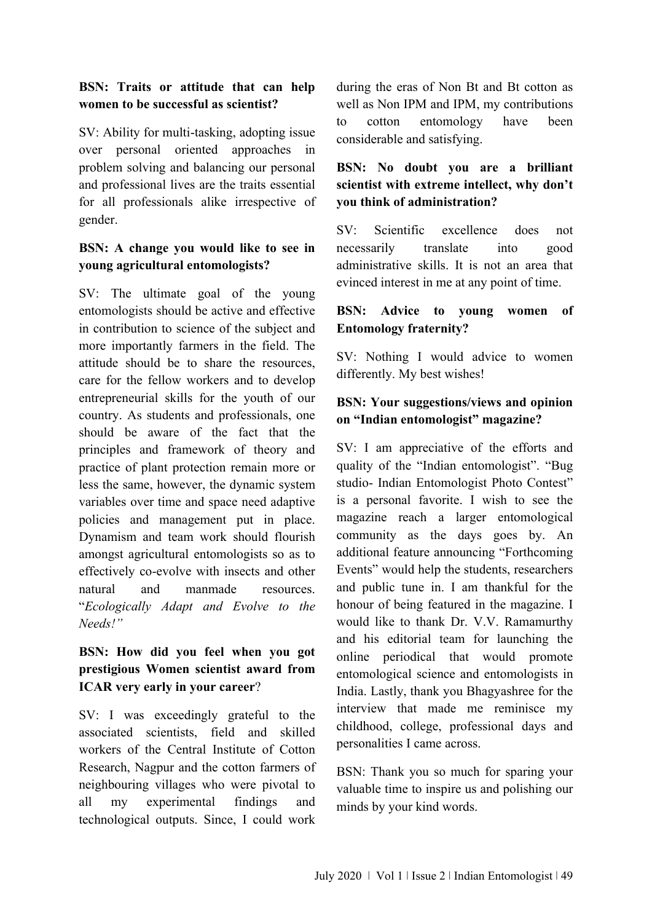#### **BSN: Traits or attitude that can help women to be successful as scientist?**

SV: Ability for multi-tasking, adopting issue over personal oriented approaches in problem solving and balancing our personal and professional lives are the traits essential for all professionals alike irrespective of gender.

## **BSN: A change you would like to see in young agricultural entomologists?**

SV: The ultimate goal of the young entomologists should be active and effective in contribution to science of the subject and more importantly farmers in the field. The attitude should be to share the resources, care for the fellow workers and to develop entrepreneurial skills for the youth of our country. As students and professionals, one should be aware of the fact that the principles and framework of theory and practice of plant protection remain more or less the same, however, the dynamic system variables over time and space need adaptive policies and management put in place. Dynamism and team work should flourish amongst agricultural entomologists so as to effectively co-evolve with insects and other natural and manmade resources. "*Ecologically Adapt and Evolve to the Needs!"*

## **BSN: How did you feel when you got prestigious Women scientist award from ICAR very early in your career**?

SV: I was exceedingly grateful to the associated scientists, field and skilled workers of the Central Institute of Cotton Research, Nagpur and the cotton farmers of neighbouring villages who were pivotal to all my experimental findings and technological outputs. Since, I could work

during the eras of Non Bt and Bt cotton as well as Non IPM and IPM, my contributions to cotton entomology have been considerable and satisfying.

# **BSN: No doubt you are a brilliant scientist with extreme intellect, why don't you think of administration?**

SV: Scientific excellence does not necessarily translate into good administrative skills. It is not an area that evinced interest in me at any point of time.

#### **BSN: Advice to young women of Entomology fraternity?**

SV: Nothing I would advice to women differently. My best wishes!

#### **BSN: Your suggestions/views and opinion on "Indian entomologist" magazine?**

SV: I am appreciative of the efforts and quality of the "Indian entomologist". "Bug studio- Indian Entomologist Photo Contest" is a personal favorite. I wish to see the magazine reach a larger entomological community as the days goes by. An additional feature announcing "Forthcoming Events" would help the students, researchers and public tune in. I am thankful for the honour of being featured in the magazine. I would like to thank Dr. V.V. Ramamurthy and his editorial team for launching the online periodical that would promote entomological science and entomologists in India. Lastly, thank you Bhagyashree for the interview that made me reminisce my childhood, college, professional days and personalities I came across.

BSN: Thank you so much for sparing your valuable time to inspire us and polishing our minds by your kind words.